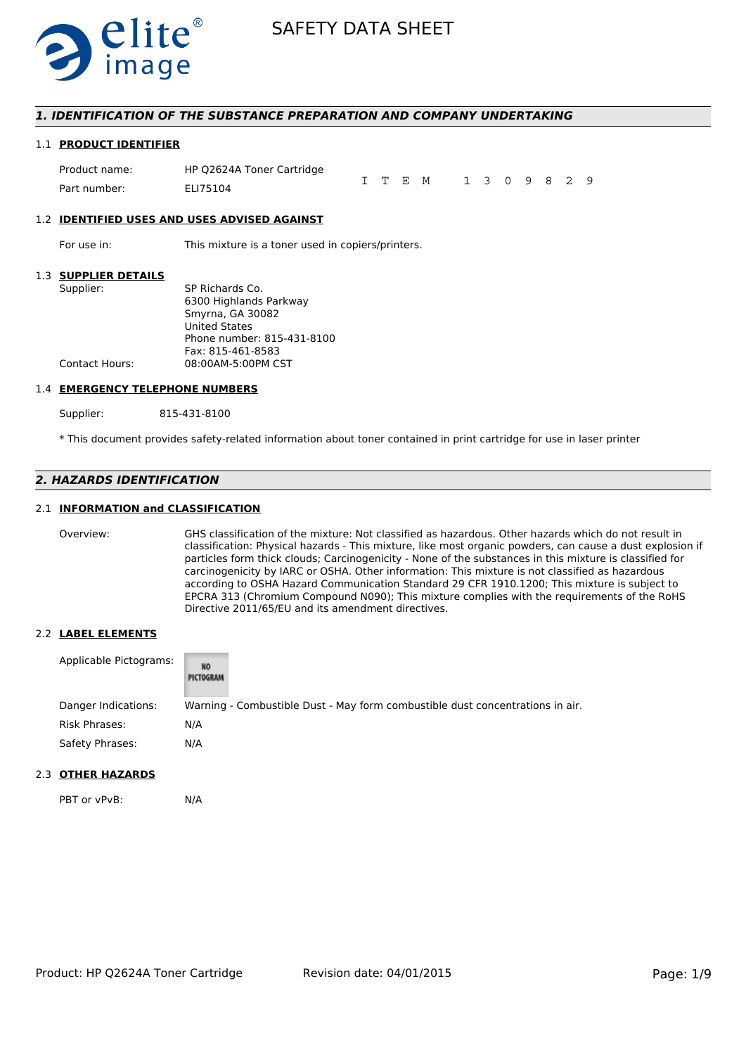

### *1. IDENTIFICATION OF THE SUBSTANCE PREPARATION AND COMPANY UNDERTAKING*

#### 1.1 **PRODUCT IDENTIFIER**

| Product name: | HP Q2624A Toner Cartridge |  |                       |  |  |  |  |
|---------------|---------------------------|--|-----------------------|--|--|--|--|
| Part number:  | ELI75104                  |  | I T E M 1 3 0 9 8 2 9 |  |  |  |  |

#### 1.2 **IDENTIFIED USES AND USES ADVISED AGAINST**

For use in: This mixture is a toner used in copiers/printers.

### 1.3 **SUPPLIER DETAILS**

| Supplier:      | SP Richards Co.            |
|----------------|----------------------------|
|                | 6300 Highlands Parkway     |
|                | Smyrna, GA 30082           |
|                | <b>United States</b>       |
|                | Phone number: 815-431-8100 |
|                | Fax: 815-461-8583          |
| Contact Hours: | 08:00AM-5:00PM CST         |
|                |                            |

#### 1.4 **EMERGENCY TELEPHONE NUMBERS**

Supplier: 815-431-8100

\* This document provides safety-related information about toner contained in print cartridge for use in laser printer

# *2. HAZARDS IDENTIFICATION*

### 2.1 **INFORMATION and CLASSIFICATION**

Overview: GHS classification of the mixture: Not classified as hazardous. Other hazards which do not result in classification: Physical hazards - This mixture, like most organic powders, can cause a dust explosion if particles form thick clouds; Carcinogenicity - None of the substances in this mixture is classified for carcinogenicity by IARC or OSHA. Other information: This mixture is not classified as hazardous according to OSHA Hazard Communication Standard 29 CFR 1910.1200; This mixture is subject to EPCRA 313 (Chromium Compound N090); This mixture complies with the requirements of the RoHS Directive 2011/65/EU and its amendment directives.

#### 2.2 **LABEL ELEMENTS**

| Applicable Pictograms: | NO<br>PICTOGRAM                                                               |
|------------------------|-------------------------------------------------------------------------------|
| Danger Indications:    | Warning - Combustible Dust - May form combustible dust concentrations in air. |
| Risk Phrases:          | N/A                                                                           |
| Safety Phrases:        | N/A                                                                           |

### 2.3 **OTHER HAZARDS**

PBT or vPvB: N/A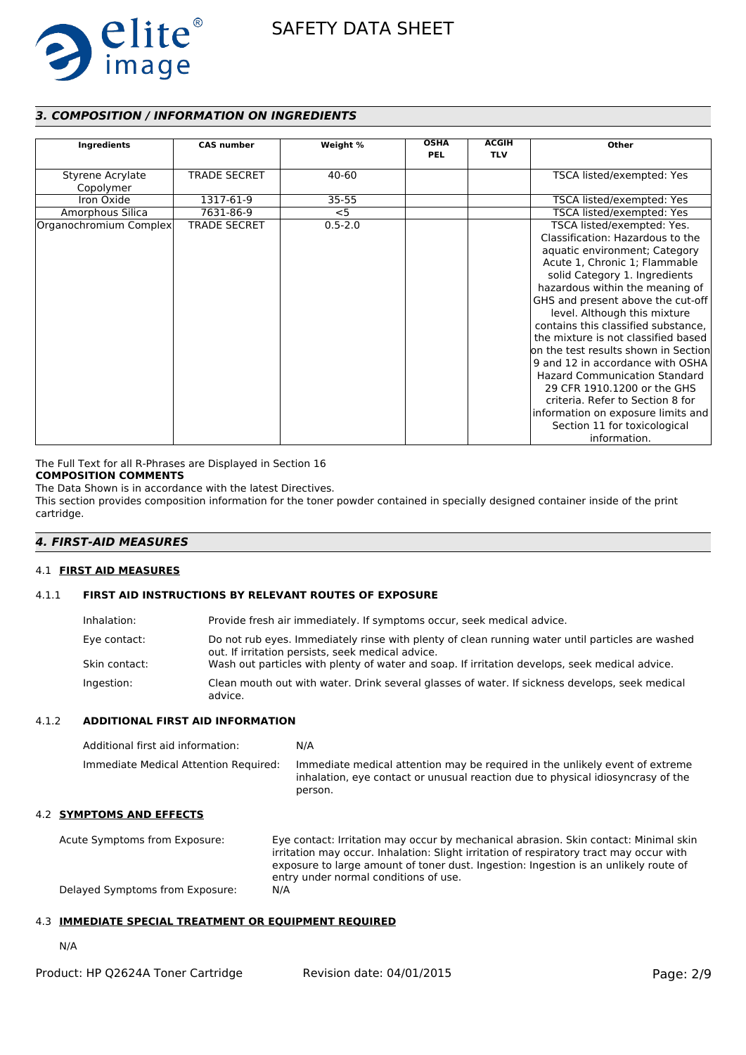

# *3. COMPOSITION / INFORMATION ON INGREDIENTS*

| Ingredients                   | <b>CAS number</b>   | Weight %    | <b>OSHA</b> | <b>ACGIH</b> | Other                                                                                                                                                                                                                                                                                                                                                                                                                                                                                                                                                                                                                                |
|-------------------------------|---------------------|-------------|-------------|--------------|--------------------------------------------------------------------------------------------------------------------------------------------------------------------------------------------------------------------------------------------------------------------------------------------------------------------------------------------------------------------------------------------------------------------------------------------------------------------------------------------------------------------------------------------------------------------------------------------------------------------------------------|
|                               |                     |             | <b>PEL</b>  | <b>TLV</b>   |                                                                                                                                                                                                                                                                                                                                                                                                                                                                                                                                                                                                                                      |
| Styrene Acrylate<br>Copolymer | <b>TRADE SECRET</b> | 40-60       |             |              | TSCA listed/exempted: Yes                                                                                                                                                                                                                                                                                                                                                                                                                                                                                                                                                                                                            |
| Iron Oxide                    | 1317-61-9           | $35 - 55$   |             |              | TSCA listed/exempted: Yes                                                                                                                                                                                                                                                                                                                                                                                                                                                                                                                                                                                                            |
| Amorphous Silica              | 7631-86-9           | $<$ 5       |             |              | TSCA listed/exempted: Yes                                                                                                                                                                                                                                                                                                                                                                                                                                                                                                                                                                                                            |
| Organochromium Complex        | <b>TRADE SECRET</b> | $0.5 - 2.0$ |             |              | TSCA listed/exempted: Yes.<br>Classification: Hazardous to the<br>aquatic environment; Category<br>Acute 1, Chronic 1; Flammable<br>solid Category 1. Ingredients<br>hazardous within the meaning of<br>GHS and present above the cut-off<br>level. Although this mixture<br>contains this classified substance,<br>the mixture is not classified based<br>on the test results shown in Section<br>9 and 12 in accordance with OSHA<br><b>Hazard Communication Standard</b><br>29 CFR 1910.1200 or the GHS<br>criteria. Refer to Section 8 for<br>information on exposure limits and<br>Section 11 for toxicological<br>information. |

The Full Text for all R-Phrases are Displayed in Section 16

# **COMPOSITION COMMENTS**

The Data Shown is in accordance with the latest Directives.

This section provides composition information for the toner powder contained in specially designed container inside of the print cartridge.

# *4. FIRST-AID MEASURES*

# 4.1 **FIRST AID MEASURES**

# 4.1.1 **FIRST AID INSTRUCTIONS BY RELEVANT ROUTES OF EXPOSURE**

| Inhalation:   | Provide fresh air immediately. If symptoms occur, seek medical advice.                                                                                |
|---------------|-------------------------------------------------------------------------------------------------------------------------------------------------------|
| Eye contact:  | Do not rub eyes. Immediately rinse with plenty of clean running water until particles are washed<br>out. If irritation persists, seek medical advice. |
| Skin contact: | Wash out particles with plenty of water and soap. If irritation develops, seek medical advice.                                                        |
| Ingestion:    | Clean mouth out with water. Drink several glasses of water. If sickness develops, seek medical<br>advice.                                             |

#### 4.1.2 **ADDITIONAL FIRST AID INFORMATION**

| Additional first aid information:     | N/A                                                                                                                                                                        |
|---------------------------------------|----------------------------------------------------------------------------------------------------------------------------------------------------------------------------|
| Immediate Medical Attention Required: | Immediate medical attention may be required in the unlikely event of extreme<br>inhalation, eye contact or unusual reaction due to physical idiosyncrasy of the<br>person. |

#### 4.2 **SYMPTOMS AND EFFECTS**

Acute Symptoms from Exposure: Eye contact: Irritation may occur by mechanical abrasion. Skin contact: Minimal skin irritation may occur. Inhalation: Slight irritation of respiratory tract may occur with exposure to large amount of toner dust. Ingestion: Ingestion is an unlikely route of entry under normal conditions of use. Delayed Symptoms from Exposure: N/A

# 4.3 **IMMEDIATE SPECIAL TREATMENT OR EQUIPMENT REQUIRED**

N/A

| Product: HP Q2624A Toner Cartridge | Revision date: 04/01/2015 | Page: 2/9 |
|------------------------------------|---------------------------|-----------|
|------------------------------------|---------------------------|-----------|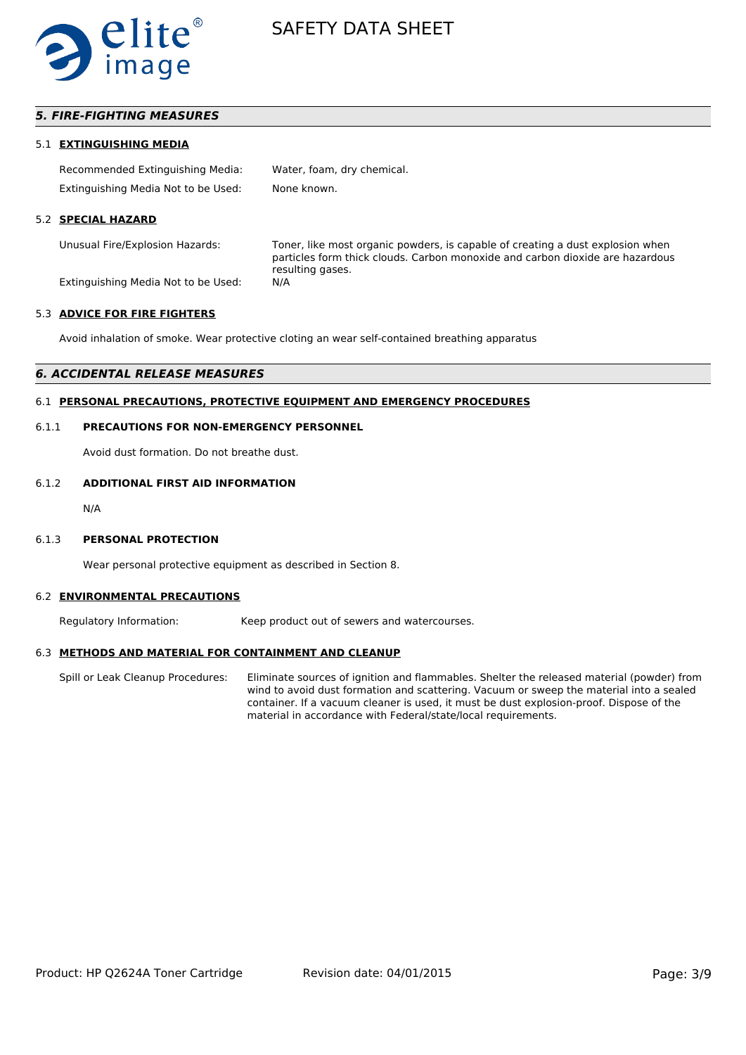

# *5. FIRE-FIGHTING MEASURES*

#### 5.1 **EXTINGUISHING MEDIA**

| Recommended Extinguishing Media:    | Water, foam, dry chemical. |
|-------------------------------------|----------------------------|
| Extinguishing Media Not to be Used: | None known.                |

#### 5.2 **SPECIAL HAZARD**

Unusual Fire/Explosion Hazards: Toner, like most organic powders, is capable of creating a dust explosion when particles form thick clouds. Carbon monoxide and carbon dioxide are hazardous resulting gases.

Extinguishing Media Not to be Used: N/A

#### 5.3 **ADVICE FOR FIRE FIGHTERS**

Avoid inhalation of smoke. Wear protective cloting an wear self-contained breathing apparatus

### *6. ACCIDENTAL RELEASE MEASURES*

# 6.1 **PERSONAL PRECAUTIONS, PROTECTIVE EQUIPMENT AND EMERGENCY PROCEDURES**

#### 6.1.1 **PRECAUTIONS FOR NON-EMERGENCY PERSONNEL**

Avoid dust formation. Do not breathe dust.

#### 6.1.2 **ADDITIONAL FIRST AID INFORMATION**

N/A

#### 6.1.3 **PERSONAL PROTECTION**

Wear personal protective equipment as described in Section 8.

#### 6.2 **ENVIRONMENTAL PRECAUTIONS**

Regulatory Information: Keep product out of sewers and watercourses.

#### 6.3 **METHODS AND MATERIAL FOR CONTAINMENT AND CLEANUP**

Spill or Leak Cleanup Procedures: Eliminate sources of ignition and flammables. Shelter the released material (powder) from wind to avoid dust formation and scattering. Vacuum or sweep the material into a sealed container. If a vacuum cleaner is used, it must be dust explosion-proof. Dispose of the material in accordance with Federal/state/local requirements.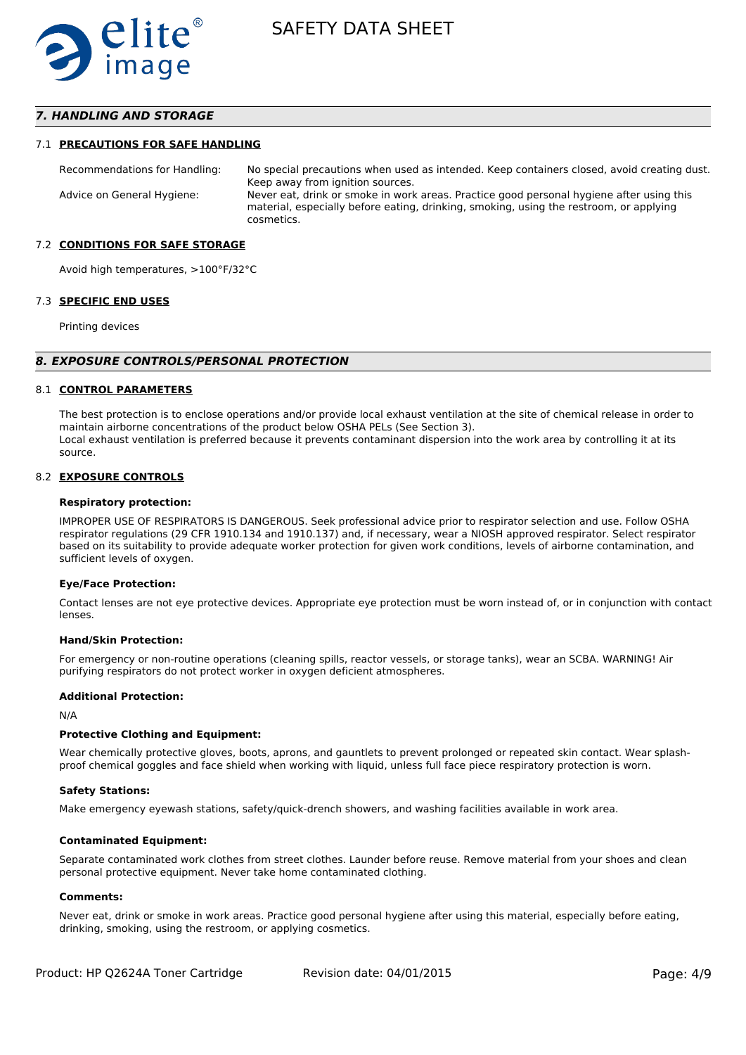

# *7. HANDLING AND STORAGE*

#### 7.1 **PRECAUTIONS FOR SAFE HANDLING**

Recommendations for Handling: No special precautions when used as intended. Keep containers closed, avoid creating dust. Keep away from ignition sources. Advice on General Hygiene: Never eat, drink or smoke in work areas. Practice good personal hygiene after using this material, especially before eating, drinking, smoking, using the restroom, or applying cosmetics.

#### 7.2 **CONDITIONS FOR SAFE STORAGE**

Avoid high temperatures, >100°F/32°C

#### 7.3 **SPECIFIC END USES**

Printing devices

#### *8. EXPOSURE CONTROLS/PERSONAL PROTECTION*

#### 8.1 **CONTROL PARAMETERS**

The best protection is to enclose operations and/or provide local exhaust ventilation at the site of chemical release in order to maintain airborne concentrations of the product below OSHA PELs (See Section 3). Local exhaust ventilation is preferred because it prevents contaminant dispersion into the work area by controlling it at its source.

#### 8.2 **EXPOSURE CONTROLS**

#### **Respiratory protection:**

IMPROPER USE OF RESPIRATORS IS DANGEROUS. Seek professional advice prior to respirator selection and use. Follow OSHA respirator regulations (29 CFR 1910.134 and 1910.137) and, if necessary, wear a NIOSH approved respirator. Select respirator based on its suitability to provide adequate worker protection for given work conditions, levels of airborne contamination, and sufficient levels of oxygen.

#### **Eye/Face Protection:**

Contact lenses are not eye protective devices. Appropriate eye protection must be worn instead of, or in conjunction with contact lenses.

#### **Hand/Skin Protection:**

For emergency or non-routine operations (cleaning spills, reactor vessels, or storage tanks), wear an SCBA. WARNING! Air purifying respirators do not protect worker in oxygen deficient atmospheres.

#### **Additional Protection:**

N/A

#### **Protective Clothing and Equipment:**

Wear chemically protective gloves, boots, aprons, and gauntlets to prevent prolonged or repeated skin contact. Wear splashproof chemical goggles and face shield when working with liquid, unless full face piece respiratory protection is worn.

#### **Safety Stations:**

Make emergency eyewash stations, safety/quick-drench showers, and washing facilities available in work area.

#### **Contaminated Equipment:**

Separate contaminated work clothes from street clothes. Launder before reuse. Remove material from your shoes and clean personal protective equipment. Never take home contaminated clothing.

#### **Comments:**

Never eat, drink or smoke in work areas. Practice good personal hygiene after using this material, especially before eating, drinking, smoking, using the restroom, or applying cosmetics.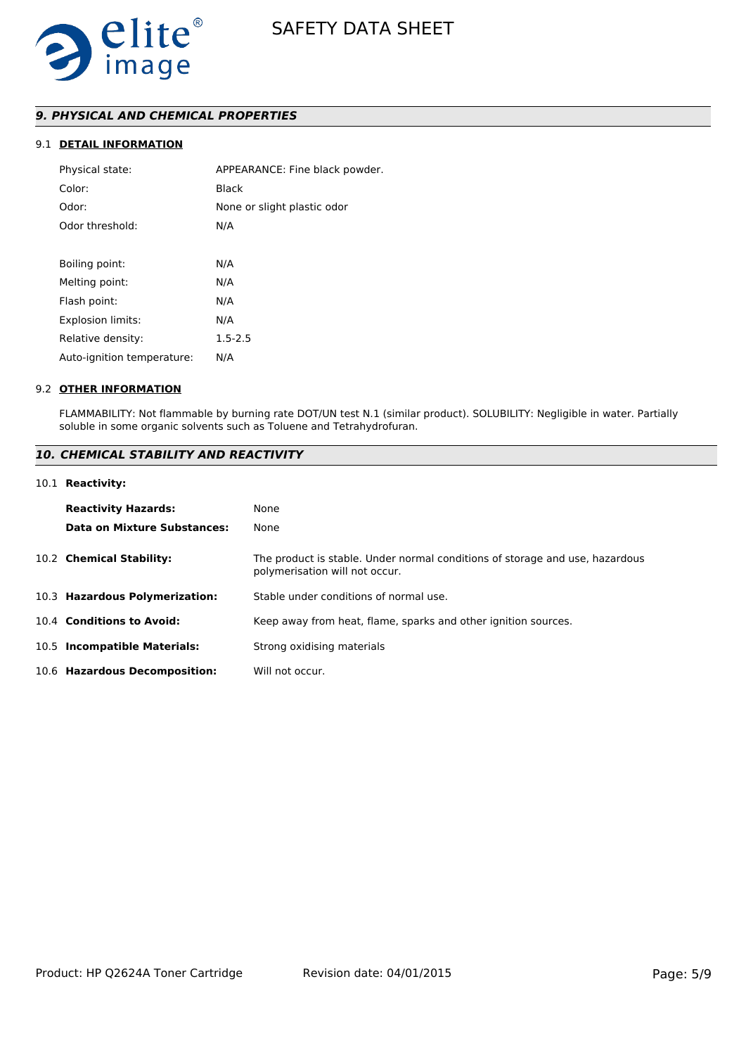

# *9. PHYSICAL AND CHEMICAL PROPERTIES*

# 9.1 **DETAIL INFORMATION**

| Physical state:            | APPEARANCE: Fine black powder. |
|----------------------------|--------------------------------|
| Color:                     | Black                          |
| Odor:                      | None or slight plastic odor    |
| Odor threshold:            | N/A                            |
|                            |                                |
| Boiling point:             | N/A                            |
| Melting point:             | N/A                            |
| Flash point:               | N/A                            |
| <b>Explosion limits:</b>   | N/A                            |
| Relative density:          | $1.5 - 2.5$                    |
| Auto-ignition temperature: | N/A                            |
|                            |                                |

#### 9.2 **OTHER INFORMATION**

FLAMMABILITY: Not flammable by burning rate DOT/UN test N.1 (similar product). SOLUBILITY: Negligible in water. Partially soluble in some organic solvents such as Toluene and Tetrahydrofuran.

# *10. CHEMICAL STABILITY AND REACTIVITY*

#### 10.1 **Reactivity:**

| <b>Reactivity Hazards:</b>     | None                                                                                                           |
|--------------------------------|----------------------------------------------------------------------------------------------------------------|
| Data on Mixture Substances:    | None                                                                                                           |
| 10.2 Chemical Stability:       | The product is stable. Under normal conditions of storage and use, hazardous<br>polymerisation will not occur. |
| 10.3 Hazardous Polymerization: | Stable under conditions of normal use.                                                                         |
| 10.4 Conditions to Avoid:      | Keep away from heat, flame, sparks and other ignition sources.                                                 |
| 10.5 Incompatible Materials:   | Strong oxidising materials                                                                                     |
| 10.6 Hazardous Decomposition:  | Will not occur.                                                                                                |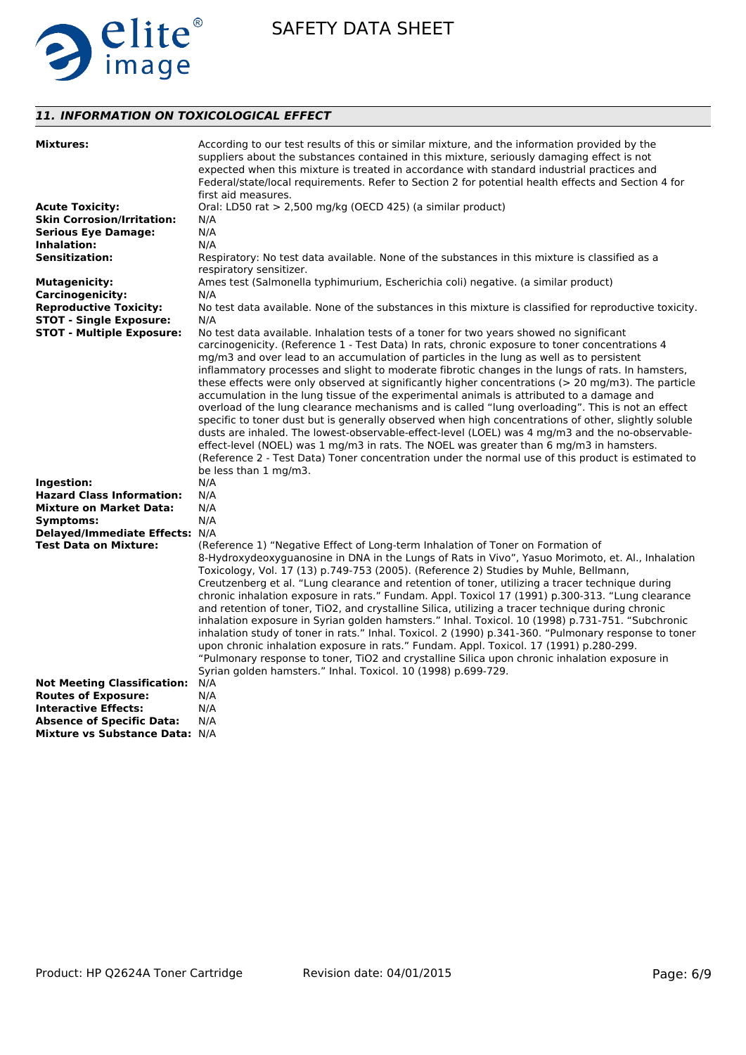

# *11. INFORMATION ON TOXICOLOGICAL EFFECT*

| <b>Mixtures:</b>                   | According to our test results of this or similar mixture, and the information provided by the<br>suppliers about the substances contained in this mixture, seriously damaging effect is not<br>expected when this mixture is treated in accordance with standard industrial practices and<br>Federal/state/local requirements. Refer to Section 2 for potential health effects and Section 4 for                                                                                                                                                                                                                                                                                                                                                                                                                                                                                                                                                                                                                                                                 |
|------------------------------------|------------------------------------------------------------------------------------------------------------------------------------------------------------------------------------------------------------------------------------------------------------------------------------------------------------------------------------------------------------------------------------------------------------------------------------------------------------------------------------------------------------------------------------------------------------------------------------------------------------------------------------------------------------------------------------------------------------------------------------------------------------------------------------------------------------------------------------------------------------------------------------------------------------------------------------------------------------------------------------------------------------------------------------------------------------------|
|                                    | first aid measures.                                                                                                                                                                                                                                                                                                                                                                                                                                                                                                                                                                                                                                                                                                                                                                                                                                                                                                                                                                                                                                              |
| <b>Acute Toxicity:</b>             | Oral: LD50 rat > 2,500 mg/kg (OECD 425) (a similar product)                                                                                                                                                                                                                                                                                                                                                                                                                                                                                                                                                                                                                                                                                                                                                                                                                                                                                                                                                                                                      |
| <b>Skin Corrosion/Irritation:</b>  | N/A                                                                                                                                                                                                                                                                                                                                                                                                                                                                                                                                                                                                                                                                                                                                                                                                                                                                                                                                                                                                                                                              |
| <b>Serious Eye Damage:</b>         | N/A                                                                                                                                                                                                                                                                                                                                                                                                                                                                                                                                                                                                                                                                                                                                                                                                                                                                                                                                                                                                                                                              |
| <b>Inhalation:</b>                 | N/A                                                                                                                                                                                                                                                                                                                                                                                                                                                                                                                                                                                                                                                                                                                                                                                                                                                                                                                                                                                                                                                              |
| <b>Sensitization:</b>              | Respiratory: No test data available. None of the substances in this mixture is classified as a<br>respiratory sensitizer.                                                                                                                                                                                                                                                                                                                                                                                                                                                                                                                                                                                                                                                                                                                                                                                                                                                                                                                                        |
| <b>Mutagenicity:</b>               | Ames test (Salmonella typhimurium, Escherichia coli) negative. (a similar product)                                                                                                                                                                                                                                                                                                                                                                                                                                                                                                                                                                                                                                                                                                                                                                                                                                                                                                                                                                               |
| <b>Carcinogenicity:</b>            | N/A                                                                                                                                                                                                                                                                                                                                                                                                                                                                                                                                                                                                                                                                                                                                                                                                                                                                                                                                                                                                                                                              |
| <b>Reproductive Toxicity:</b>      | No test data available. None of the substances in this mixture is classified for reproductive toxicity.                                                                                                                                                                                                                                                                                                                                                                                                                                                                                                                                                                                                                                                                                                                                                                                                                                                                                                                                                          |
| <b>STOT - Single Exposure:</b>     | N/A                                                                                                                                                                                                                                                                                                                                                                                                                                                                                                                                                                                                                                                                                                                                                                                                                                                                                                                                                                                                                                                              |
| <b>STOT - Multiple Exposure:</b>   | No test data available. Inhalation tests of a toner for two years showed no significant                                                                                                                                                                                                                                                                                                                                                                                                                                                                                                                                                                                                                                                                                                                                                                                                                                                                                                                                                                          |
|                                    | carcinogenicity. (Reference 1 - Test Data) In rats, chronic exposure to toner concentrations 4<br>mg/m3 and over lead to an accumulation of particles in the lung as well as to persistent<br>inflammatory processes and slight to moderate fibrotic changes in the lungs of rats. In hamsters,<br>these effects were only observed at significantly higher concentrations ( $>$ 20 mg/m3). The particle<br>accumulation in the lung tissue of the experimental animals is attributed to a damage and<br>overload of the lung clearance mechanisms and is called "lung overloading". This is not an effect<br>specific to toner dust but is generally observed when high concentrations of other, slightly soluble<br>dusts are inhaled. The lowest-observable-effect-level (LOEL) was 4 mg/m3 and the no-observable-<br>effect-level (NOEL) was 1 mg/m3 in rats. The NOEL was greater than 6 mg/m3 in hamsters.<br>(Reference 2 - Test Data) Toner concentration under the normal use of this product is estimated to<br>be less than 1 mg/m3.                  |
| Ingestion:                         | N/A                                                                                                                                                                                                                                                                                                                                                                                                                                                                                                                                                                                                                                                                                                                                                                                                                                                                                                                                                                                                                                                              |
| <b>Hazard Class Information:</b>   | N/A                                                                                                                                                                                                                                                                                                                                                                                                                                                                                                                                                                                                                                                                                                                                                                                                                                                                                                                                                                                                                                                              |
| <b>Mixture on Market Data:</b>     | N/A                                                                                                                                                                                                                                                                                                                                                                                                                                                                                                                                                                                                                                                                                                                                                                                                                                                                                                                                                                                                                                                              |
| Symptoms:                          | N/A                                                                                                                                                                                                                                                                                                                                                                                                                                                                                                                                                                                                                                                                                                                                                                                                                                                                                                                                                                                                                                                              |
| Delayed/Immediate Effects: N/A     |                                                                                                                                                                                                                                                                                                                                                                                                                                                                                                                                                                                                                                                                                                                                                                                                                                                                                                                                                                                                                                                                  |
| <b>Test Data on Mixture:</b>       | (Reference 1) "Negative Effect of Long-term Inhalation of Toner on Formation of<br>8-Hydroxydeoxyguanosine in DNA in the Lungs of Rats in Vivo", Yasuo Morimoto, et. Al., Inhalation<br>Toxicology, Vol. 17 (13) p.749-753 (2005). (Reference 2) Studies by Muhle, Bellmann,<br>Creutzenberg et al. "Lung clearance and retention of toner, utilizing a tracer technique during<br>chronic inhalation exposure in rats." Fundam. Appl. Toxicol 17 (1991) p.300-313. "Lung clearance<br>and retention of toner, TiO2, and crystalline Silica, utilizing a tracer technique during chronic<br>inhalation exposure in Syrian golden hamsters." Inhal. Toxicol. 10 (1998) p.731-751. "Subchronic<br>inhalation study of toner in rats." Inhal. Toxicol. 2 (1990) p.341-360. "Pulmonary response to toner<br>upon chronic inhalation exposure in rats." Fundam. Appl. Toxicol. 17 (1991) p.280-299.<br>"Pulmonary response to toner, TiO2 and crystalline Silica upon chronic inhalation exposure in<br>Syrian golden hamsters." Inhal. Toxicol. 10 (1998) p.699-729. |
| <b>Not Meeting Classification:</b> | N/A                                                                                                                                                                                                                                                                                                                                                                                                                                                                                                                                                                                                                                                                                                                                                                                                                                                                                                                                                                                                                                                              |
| <b>Routes of Exposure:</b>         | N/A                                                                                                                                                                                                                                                                                                                                                                                                                                                                                                                                                                                                                                                                                                                                                                                                                                                                                                                                                                                                                                                              |
| <b>Interactive Effects:</b>        | N/A                                                                                                                                                                                                                                                                                                                                                                                                                                                                                                                                                                                                                                                                                                                                                                                                                                                                                                                                                                                                                                                              |
| <b>Absence of Specific Data:</b>   | N/A                                                                                                                                                                                                                                                                                                                                                                                                                                                                                                                                                                                                                                                                                                                                                                                                                                                                                                                                                                                                                                                              |
| Mixture vs Substance Data: N/A     |                                                                                                                                                                                                                                                                                                                                                                                                                                                                                                                                                                                                                                                                                                                                                                                                                                                                                                                                                                                                                                                                  |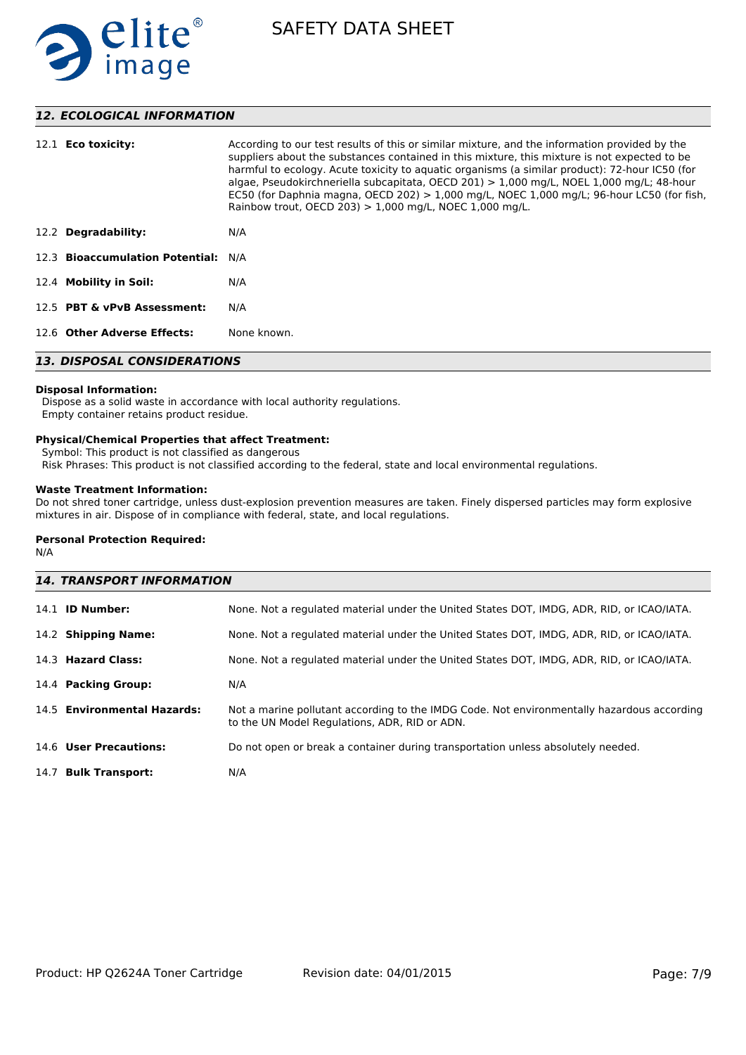

# *12. ECOLOGICAL INFORMATION*

| 12.1 <b>Eco toxicity:</b>           | According to our test results of this or similar mixture, and the information provided by the<br>suppliers about the substances contained in this mixture, this mixture is not expected to be<br>harmful to ecology. Acute toxicity to aguatic organisms (a similar product): 72-hour IC50 (for<br>algae, Pseudokirchneriella subcapitata, OECD 201) $> 1,000$ mg/L, NOEL 1,000 mg/L; 48-hour<br>EC50 (for Daphnia magna, OECD 202) $> 1,000$ mg/L, NOEC 1,000 mg/L; 96-hour LC50 (for fish,<br>Rainbow trout, OECD 203) $> 1,000$ mg/L, NOEC 1,000 mg/L. |  |  |
|-------------------------------------|-----------------------------------------------------------------------------------------------------------------------------------------------------------------------------------------------------------------------------------------------------------------------------------------------------------------------------------------------------------------------------------------------------------------------------------------------------------------------------------------------------------------------------------------------------------|--|--|
| 12.2 Degradability:                 | N/A                                                                                                                                                                                                                                                                                                                                                                                                                                                                                                                                                       |  |  |
| 12.3 Bioaccumulation Potential: N/A |                                                                                                                                                                                                                                                                                                                                                                                                                                                                                                                                                           |  |  |
| 12.4 Mobility in Soil:              | N/A                                                                                                                                                                                                                                                                                                                                                                                                                                                                                                                                                       |  |  |
| 12.5 PBT & vPvB Assessment:         | N/A                                                                                                                                                                                                                                                                                                                                                                                                                                                                                                                                                       |  |  |
| 12.6 Other Adverse Effects:         | None known.                                                                                                                                                                                                                                                                                                                                                                                                                                                                                                                                               |  |  |
| <b>13. DISPOSAL CONSIDERATIONS</b>  |                                                                                                                                                                                                                                                                                                                                                                                                                                                                                                                                                           |  |  |

# **Disposal Information:**

 Dispose as a solid waste in accordance with local authority regulations. Empty container retains product residue.

### **Physical/Chemical Properties that affect Treatment:**

Symbol: This product is not classified as dangerous

Risk Phrases: This product is not classified according to the federal, state and local environmental regulations.

# **Waste Treatment Information:**

Do not shred toner cartridge, unless dust-explosion prevention measures are taken. Finely dispersed particles may form explosive mixtures in air. Dispose of in compliance with federal, state, and local regulations.

# **Personal Protection Required:**

N/A

| <b>14. TRANSPORT INFORMATION</b> |                             |                                                                                                                                             |  |  |
|----------------------------------|-----------------------------|---------------------------------------------------------------------------------------------------------------------------------------------|--|--|
|                                  | $14.1$ ID Number:           | None. Not a regulated material under the United States DOT, IMDG, ADR, RID, or ICAO/IATA.                                                   |  |  |
|                                  | 14.2 Shipping Name:         | None. Not a regulated material under the United States DOT, IMDG, ADR, RID, or ICAO/IATA.                                                   |  |  |
|                                  | 14.3 Hazard Class:          | None. Not a regulated material under the United States DOT, IMDG, ADR, RID, or ICAO/IATA.                                                   |  |  |
|                                  | 14.4 Packing Group:         | N/A                                                                                                                                         |  |  |
|                                  | 14.5 Environmental Hazards: | Not a marine pollutant according to the IMDG Code. Not environmentally hazardous according<br>to the UN Model Regulations, ADR, RID or ADN. |  |  |
|                                  | 14.6 User Precautions:      | Do not open or break a container during transportation unless absolutely needed.                                                            |  |  |
|                                  | 14.7 Bulk Transport:        | N/A                                                                                                                                         |  |  |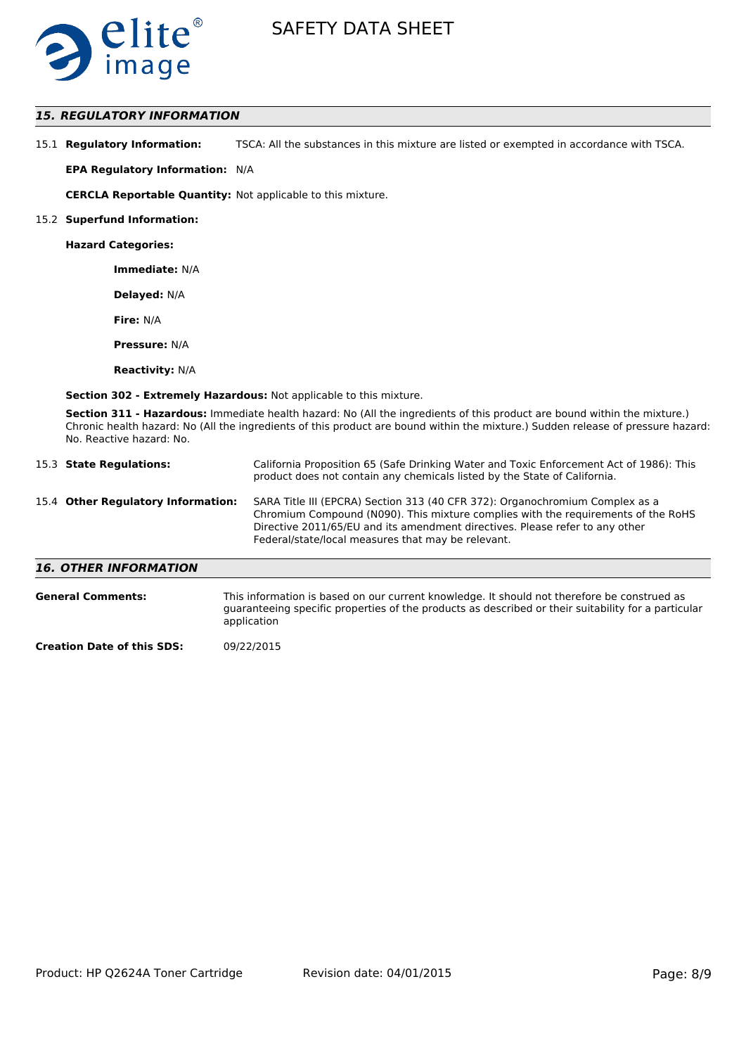

# *15. REGULATORY INFORMATION*

| 15.1 Regulatory Information: | TSCA: All the substances in this mixture are listed or exempted in accordance with TSCA. |
|------------------------------|------------------------------------------------------------------------------------------|
|------------------------------|------------------------------------------------------------------------------------------|

**EPA Regulatory Information:** N/A

**CERCLA Reportable Quantity:** Not applicable to this mixture.

#### 15.2 **Superfund Information:**

**Hazard Categories:**

**Immediate:** N/A

**Delayed:** N/A

**Fire:** N/A

**Pressure:** N/A

**Reactivity:** N/A

**Section 302 - Extremely Hazardous:** Not applicable to this mixture.

**Section 311 - Hazardous:** Immediate health hazard: No (All the ingredients of this product are bound within the mixture.) Chronic health hazard: No (All the ingredients of this product are bound within the mixture.) Sudden release of pressure hazard: No. Reactive hazard: No.

| 15.3 State Regulations:            | California Proposition 65 (Safe Drinking Water and Toxic Enforcement Act of 1986): This<br>product does not contain any chemicals listed by the State of California.                                                                                                                                    |
|------------------------------------|---------------------------------------------------------------------------------------------------------------------------------------------------------------------------------------------------------------------------------------------------------------------------------------------------------|
| 15.4 Other Regulatory Information: | SARA Title III (EPCRA) Section 313 (40 CFR 372): Organochromium Complex as a<br>Chromium Compound (N090). This mixture complies with the requirements of the RoHS<br>Directive 2011/65/EU and its amendment directives. Please refer to any other<br>Federal/state/local measures that may be relevant. |
| <b>16. OTHER INFORMATION</b>       |                                                                                                                                                                                                                                                                                                         |

| <b>General Comments:</b> | This information is based on our current knowledge. It should not therefore be construed as<br>guaranteeing specific properties of the products as described or their suitability for a particular<br>application |
|--------------------------|-------------------------------------------------------------------------------------------------------------------------------------------------------------------------------------------------------------------|
|                          | 0.000000000                                                                                                                                                                                                       |

**Creation Date of this SDS:** 09/22/2015